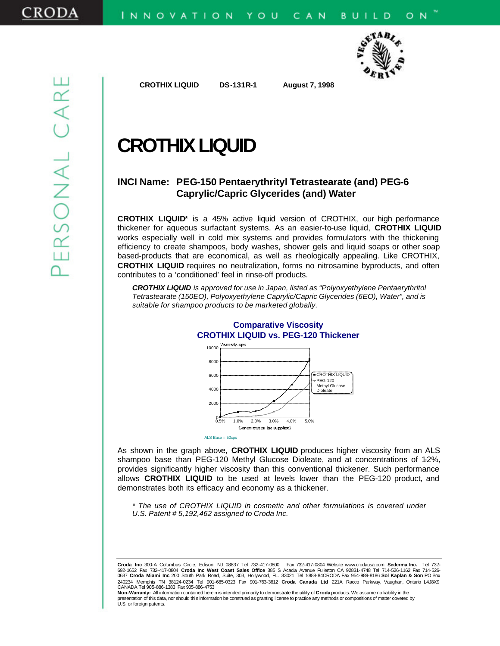

 **CROTHIX LIQUID DS-131R-1 August 7, 1998** 

# **CROTHIX LIQUID**

# **INCI Name: PEG-150 Pentaerythrityl Tetrastearate (and) PEG-6 Caprylic/Capric Glycerides (and) Water**

**CROTHIX LIQUID**\* is a 45% active liquid version of CROTHIX, our high performance thickener for aqueous surfactant systems. As an easier-to-use liquid, **CROTHIX LIQUID** works especially well in cold mix systems and provides formulators with the thickening efficiency to create shampoos, body washes, shower gels and liquid soaps or other soap based-products that are economical, as well as rheologically appealing. Like CROTHIX, **CROTHIX LIQUID** requires no neutralization, forms no nitrosamine byproducts, and often contributes to a 'conditioned' feel in rinse-off products.

*CROTHIX LIQUID is approved for use in Japan, listed as "Polyoxyethylene Pentaerythritol Tetrastearate (150EO), Polyoxyethylene Caprylic/Capric Glycerides (6EO), Water", and is suitable for shampoo products to be marketed globally.*



# **Comparative Viscosity CROTHIX LIQUID vs. PEG-120 Thickener**

As shown in the graph above, **CROTHIX LIQUID** produces higher viscosity from an ALS shampoo base than PEG-120 Methyl Glucose Dioleate, and at concentrations of 1-2%, provides significantly higher viscosity than this conventional thickener. Such performance allows **CROTHIX LIQUID** to be used at levels lower than the PEG-120 product, and demonstrates both its efficacy and economy as a thickener.

ALS Base = 50cps

*\* The use of CROTHIX LIQUID in cosmetic and other formulations is covered under U.S. Patent # 5,192,462 assigned to Croda Inc.*

**Croda Inc** 300-A Columbus Circle, Edison, NJ 08837 Tel 732-417-0800 Fax 732-417-0804 Website www.crodausa.com **Sederma Inc.** Tel 732- 692-1652 Fax 732-417-0804 **Croda Inc West Coast Sales Office** 385 S Acacia Avenue Fullerton CA 92831-4748 Tel 714-526-1162 Fax 714-526- 0637 **Croda Miami Inc** 200 South Park Road, Suite, 303, Hollywood, FL. 33021 Tel 1-888-84CRODA Fax 954-989-8186 **Sol Kaplan & Son** PO Box 240234 Memphis TN 38124-0234 Tel 901-685-0323 Fax 901-763-3612 **Croda Canada Ltd** 221A Racco Parkway, Vaughan, Ontario L4J8X9 CANADA Tel 905-886-1383 Fax 905-886-4753

**Non-Warranty:** All information contained herein is intended primarily to demonstrate the utility of **Croda** products. We assume no liability in the entation of this data, nor should this information be construed as granting license to practice any methods or compositions of matter covered by U.S. or foreign patents.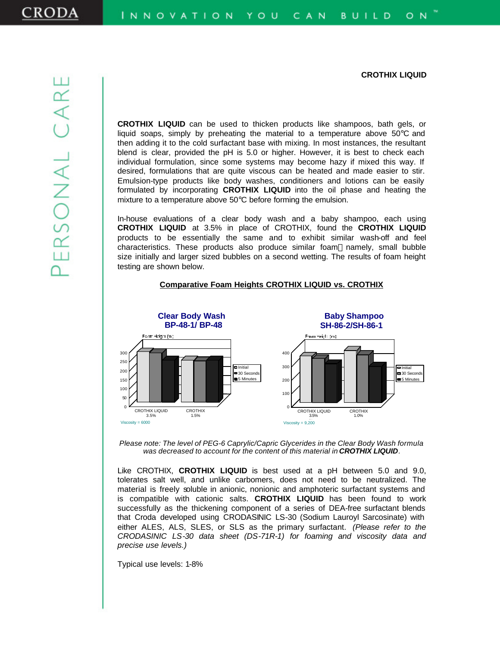**CROTHIX LIQUID** can be used to thicken products like shampoos, bath gels, or liquid soaps, simply by preheating the material to a temperature above 50°C and then adding it to the cold surfactant base with mixing. In most instances, the resultant blend is clear, provided the pH is 5.0 or higher. However, it is best to check each individual formulation, since some systems may become hazy if mixed this way. If desired, formulations that are quite viscous can be heated and made easier to stir. Emulsion-type products like body washes, conditioners and lotions can be easily formulated by incorporating **CROTHIX LIQUID** into the oil phase and heating the mixture to a temperature above 50°C before forming the emulsion.

In-house evaluations of a clear body wash and a baby shampoo, each using **CROTHIX LIQUID** at 3.5% in place of CROTHIX, found the **CROTHIX LIQUID** products to be essentially the same and to exhibit similar wash-off and feel characteristics. These products also produce similar foam—namely, small bubble size initially and larger sized bubbles on a second wetting. The results of foam height testing are shown below.



#### **Comparative Foam Heights CROTHIX LIQUID vs. CROTHIX**

Please note: The level of PEG-6 Caprylic/Capric Glycerides in the Clear Body Wash formula *was decreased to account for the content of this material in CROTHIX LIQUID.*

Like CROTHIX, **CROTHIX LIQUID** is best used at a pH between 5.0 and 9.0, tolerates salt well, and unlike carbomers, does not need to be neutralized. The material is freely soluble in anionic, nonionic and amphoteric surfactant systems and is compatible with cationic salts. **CROTHIX LIQUID** has been found to work successfully as the thickening component of a series of DEA-free surfactant blends that Croda developed using CRODASINIC LS-30 (Sodium Lauroyl Sarcosinate) with either ALES, ALS, SLES, or SLS as the primary surfactant. *(Please refer to the CRODASINIC LS-30 data sheet (DS-71R-1) for foaming and viscosity data and precise use levels.)*

Typical use levels: 1-8%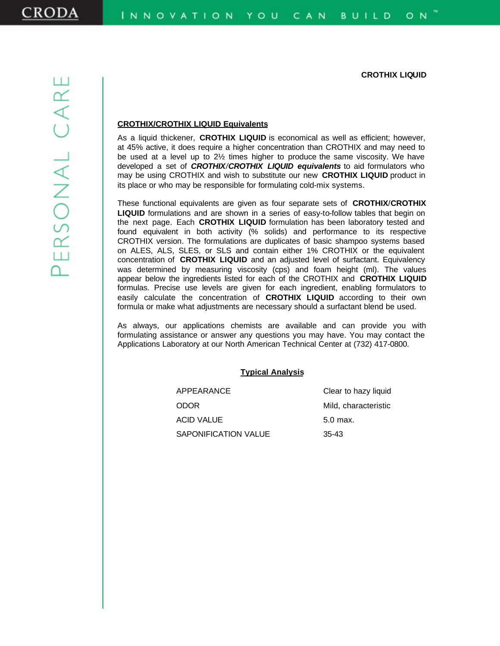## **CROTHIX/CROTHIX LIQUID Equivalents**

As a liquid thickener, **CROTHIX LIQUID** is economical as well as efficient; however, at 45% active, it does require a higher concentration than CROTHIX and may need to be used at a level up to 2½ times higher to produce the same viscosity. We have developed a set of *CROTHIX/CROTHIX LIQUID equivalents* to aid formulators who may be using CROTHIX and wish to substitute our new **CROTHIX LIQUID** product in its place or who may be responsible for formulating cold-mix systems.

These functional equivalents are given as four separate sets of **CROTHIX**/**CROTHIX LIQUID** formulations and are shown in a series of easy-to-follow tables that begin on the next page. Each **CROTHIX LIQUID** formulation has been laboratory tested and found equivalent in both activity (% solids) and performance to its respective CROTHIX version. The formulations are duplicates of basic shampoo systems based on ALES, ALS, SLES, or SLS and contain either 1% CROTHIX or the equivalent concentration of **CROTHIX LIQUID** and an adjusted level of surfactant. Equivalency was determined by measuring viscosity (cps) and foam height (ml). The values appear below the ingredients listed for each of the CROTHIX and **CROTHIX LIQUID** formulas. Precise use levels are given for each ingredient, enabling formulators to easily calculate the concentration of **CROTHIX LIQUID** according to their own formula or make what adjustments are necessary should a surfactant blend be used.

As always, our applications chemists are available and can provide you with formulating assistance or answer any questions you may have. You may contact the Applications Laboratory at our North American Technical Center at (732) 417-0800.

#### **Typical Analysis**

| APPEARANCE           | Clear to hazy liquid |
|----------------------|----------------------|
| ODOR                 | Mild, characteristic |
| ACID VALUE           | $5.0$ max.           |
| SAPONIFICATION VALUE | $35 - 43$            |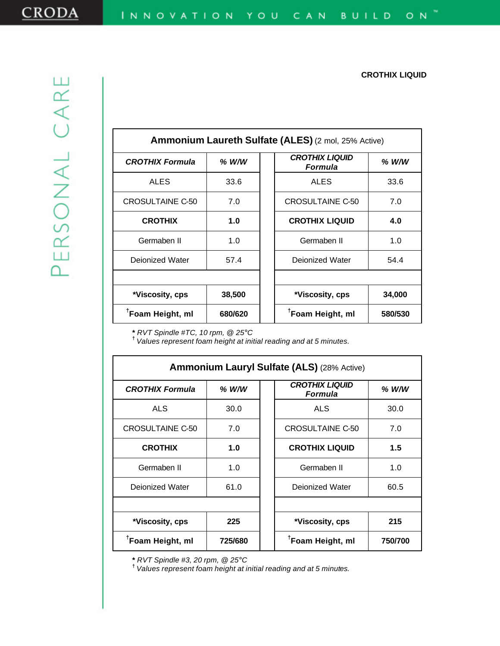| <b>Ammonium Laureth Sulfate (ALES) (2 mol, 25% Active)</b> |         |                                         |         |
|------------------------------------------------------------|---------|-----------------------------------------|---------|
| <b>CROTHIX Formula</b>                                     | $%$ W/W | <b>CROTHIX LIQUID</b><br><b>Formula</b> | % W/W   |
| <b>ALES</b>                                                | 33.6    | <b>ALES</b>                             | 33.6    |
| <b>CROSULTAINE C-50</b>                                    | 7.0     | <b>CROSULTAINE C-50</b>                 | 7.0     |
| <b>CROTHIX</b>                                             | 1.0     | <b>CROTHIX LIQUID</b>                   | 4.0     |
| Germaben II                                                | 1.0     | Germaben II                             | 1.0     |
| Deionized Water                                            | 57.4    | Deionized Water                         | 54.4    |
|                                                            |         |                                         |         |
| *Viscosity, cps                                            | 38,500  | *Viscosity, cps                         | 34,000  |
| <sup>T</sup> Foam Height, ml                               | 680/620 | <sup>†</sup> Foam Height, ml            | 580/530 |

**\*** *RVT Spindle #TC, 10 rpm, @ 25°C* **†**  *Values represent foam height at initial reading and at 5 minutes.*

| <b>Ammonium Lauryl Sulfate (ALS) (28% Active)</b> |         |                                                    |  |
|---------------------------------------------------|---------|----------------------------------------------------|--|
| <b>CROTHIX Formula</b>                            | $%$ W/W | <b>CROTHIX LIQUID</b><br>$%$ W/W<br><b>Formula</b> |  |
| <b>ALS</b>                                        | 30.0    | <b>ALS</b><br>30.0                                 |  |
| CROSULTAINE C-50                                  | 7.0     | <b>CROSULTAINE C-50</b><br>7.0                     |  |
| <b>CROTHIX</b>                                    | 1.0     | <b>CROTHIX LIQUID</b><br>1.5                       |  |
| Germaben II                                       | 1.0     | Germaben II<br>1.0                                 |  |
| Deionized Water                                   | 61.0    | Deionized Water<br>60.5                            |  |
|                                                   |         |                                                    |  |
| *Viscosity, cps                                   | 225     | 215<br>*Viscosity, cps                             |  |
| <sup>T</sup> Foam Height, ml                      | 725/680 | <sup>T</sup> Foam Height, ml<br>750/700            |  |

**\*** *RVT Spindle #3, 20 rpm, @ 25°C* **†**  *Values represent foam height at initial reading and at 5 minutes.*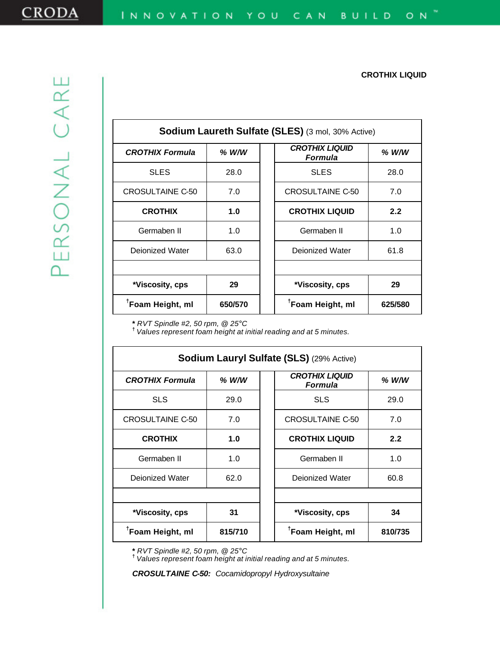| <b>Sodium Laureth Sulfate (SLES)</b> (3 mol, 30% Active) |         |                                         |         |
|----------------------------------------------------------|---------|-----------------------------------------|---------|
| <b>CROTHIX Formula</b>                                   | $%$ W/W | <b>CROTHIX LIQUID</b><br><b>Formula</b> | $%$ W/W |
| <b>SLES</b>                                              | 28.0    | <b>SLES</b>                             | 28.0    |
| CROSULTAINE C-50                                         | 7.0     | <b>CROSULTAINE C-50</b>                 | 7.0     |
| <b>CROTHIX</b>                                           | 1.0     | <b>CROTHIX LIQUID</b>                   | 2.2     |
| Germaben II                                              | 1.0     | Germaben II                             | 1.0     |
| Deionized Water                                          | 63.0    | Deionized Water                         | 61.8    |
|                                                          |         |                                         |         |
| *Viscosity, cps                                          | 29      | *Viscosity, cps                         | 29      |
| <sup>T</sup> Foam Height, ml                             | 650/570 | <sup>T</sup> Foam Height, ml            | 625/580 |

**\*** *RVT Spindle #2, 50 rpm, @ 25°C* **†**  *Values represent foam height at initial reading and at 5 minutes.*

| Sodium Lauryl Sulfate (SLS) (29% Active) |         |                                         |         |
|------------------------------------------|---------|-----------------------------------------|---------|
| <b>CROTHIX Formula</b>                   | $%$ W/W | <b>CROTHIX LIQUID</b><br><b>Formula</b> | $%$ W/W |
| <b>SLS</b>                               | 29.0    | <b>SLS</b>                              | 29.0    |
| <b>CROSULTAINE C-50</b>                  | 7.0     | CROSULTAINE C-50                        | 7.0     |
| <b>CROTHIX</b>                           | 1.0     | <b>CROTHIX LIQUID</b>                   | 2.2     |
| Germaben II                              | 1.0     | Germaben II                             | 1.0     |
| Deionized Water                          | 62.0    | Deionized Water                         | 60.8    |
|                                          |         |                                         |         |
| *Viscosity, cps                          | 31      | *Viscosity, cps                         | 34      |
| <sup>†</sup> Foam Height, ml             | 815/710 | <sup>†</sup> Foam Height, ml            | 810/735 |

**\*** *RVT Spindle #2, 50 rpm, @ 25°C* **†**  *Values represent foam height at initial reading and at 5 minutes.*

*CROSULTAINE C-50: Cocamidopropyl Hydroxysultaine*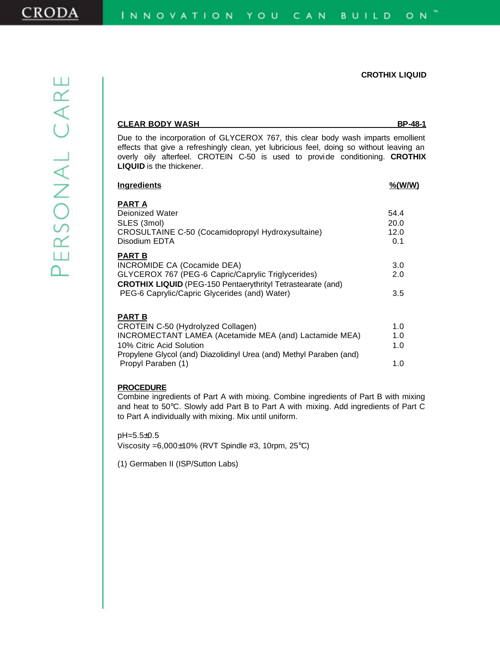| <b>CLEAR BODY WASH</b>                                                                                                                                                                                                                                                                          | <b>BP-48-1</b>              |
|-------------------------------------------------------------------------------------------------------------------------------------------------------------------------------------------------------------------------------------------------------------------------------------------------|-----------------------------|
| Due to the incorporation of GLYCEROX 767, this clear body wash imparts emollient<br>effects that give a refreshingly clean, yet lubricious feel, doing so without leaving an<br>overly oily afterfeel. CROTEIN C-50 is used to provide conditioning. CROTHIX<br><b>LIQUID</b> is the thickener. |                             |
| <b>Ingredients</b>                                                                                                                                                                                                                                                                              | $\frac{\% (W/W)}{}$         |
| <b>PART A</b><br>Dejonized Water<br>SLES (3mol)<br>CROSULTAINE C-50 (Cocamidopropyl Hydroxysultaine)<br>Disodium EDTA                                                                                                                                                                           | 54.4<br>20.0<br>12.0<br>0.1 |
| <b>PART B</b><br>INCROMIDE CA (Cocamide DEA)<br>GLYCEROX 767 (PEG-6 Capric/Caprylic Triglycerides)<br><b>CROTHIX LIQUID</b> (PEG-150 Pentaerythrityl Tetrastearate (and)<br>PEG-6 Caprylic/Capric Glycerides (and) Water)                                                                       | 3.0<br>2.0<br>3.5           |
| <b>PART B</b><br>CROTEIN C-50 (Hydrolyzed Collagen)<br>INCROMECTANT LAMEA (Acetamide MEA (and) Lactamide MEA)<br>10% Citric Acid Solution<br>Propylene Glycol (and) Diazolidinyl Urea (and) Methyl Paraben (and)<br>Propyl Paraben (1)                                                          | 1.0<br>1.0<br>1.0<br>1.0    |

#### **PROCEDURE**

Combine ingredients of Part A with mixing. Combine ingredients of Part B with mixing and heat to 50°C. Slowly add Part B to Part A with mixing. Add ingredients of Part C to Part A individually with mixing. Mix until uniform.

pH=5.5±0.5 Viscosity =6,000±10% (RVT Spindle #3, 10rpm, 25°C)

(1) Germaben II (ISP/Sutton Labs)